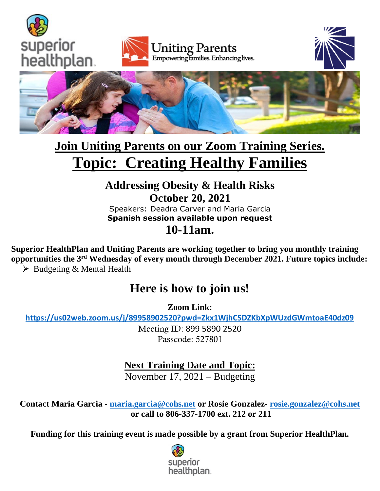







# **Join Uniting Parents on our Zoom Training Series. Topic: Creating Healthy Families**

#### **Addressing Obesity & Health Risks October 20, 2021** Speakers: Deadra Carver and Maria Garcia **Spanish session available upon request**

## **10-11am.**

**Superior HealthPlan and Uniting Parents are working together to bring you monthly training opportunities the 3rd Wednesday of every month through December 2021. Future topics include:** 

 $\triangleright$  Budgeting & Mental Health

## **Here is how to join us!**

**Zoom Link:**

**<https://us02web.zoom.us/j/89958902520?pwd=Zkx1WjhCSDZKbXpWUzdGWmtoaE40dz09>**

Meeting ID: 899 5890 2520 Passcode: 527801

#### **Next Training Date and Topic:**

November 17, 2021 – Budgeting

**Contact Maria Garcia - [maria.garcia@cohs.net](mailto:maria.garcia@cohs.net) or Rosie Gonzalez- [rosie.gonzalez@cohs.net](mailto:rosie.gonzalez@cohs.net) or call to 806-337-1700 ext. 212 or 211**

**Funding for this training event is made possible by a grant from Superior HealthPlan.**